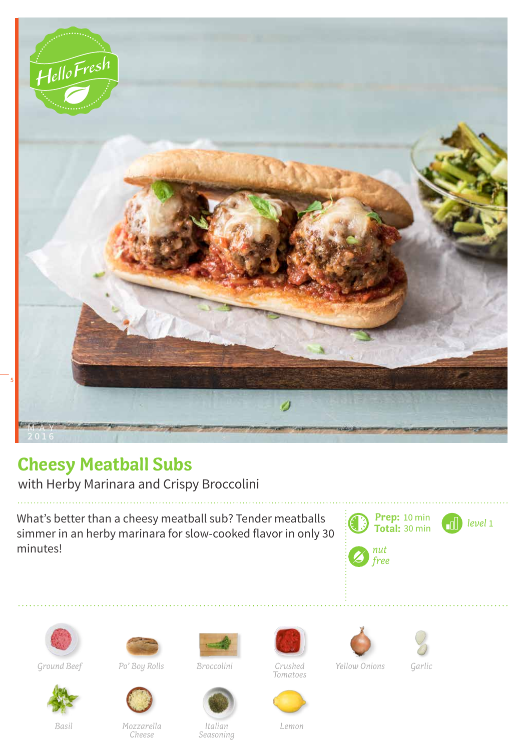

## **Cheesy Meatball Subs**

with Herby Marinara and Crispy Broccolini

What's better than a cheesy meatball sub? Tender meatballs simmer in an herby marinara for slow-cooked flavor in only 30 minutes!







Ground Beef *Po' Boy Rolls Broccolini Crushed* 



*Basil Mozzarella Cheese*

*Italian Seasoning*

*Tomatoes*







*Yellow Onions* Garlic

*Lemon*